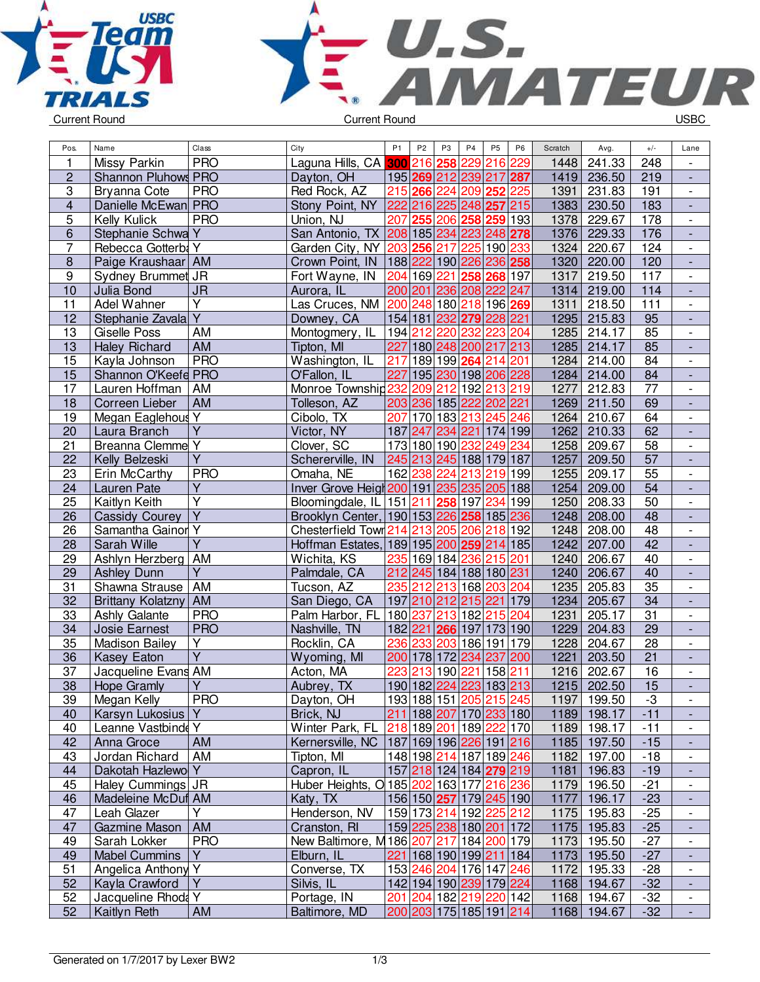



| Pos.                    | Name                     | Class                   | City                                                 | P <sub>1</sub> | P <sub>2</sub>          | P <sub>3</sub> | P4                  | P <sub>5</sub> | P <sub>6</sub> | Scratch | Avg.          | $+/-$           | Lane                     |
|-------------------------|--------------------------|-------------------------|------------------------------------------------------|----------------|-------------------------|----------------|---------------------|----------------|----------------|---------|---------------|-----------------|--------------------------|
| 1                       | Missy Parkin             | <b>PRO</b>              | Laguna Hills, CA                                     |                | 300 216                 | 258            | 229                 | 216 229        |                | 1448    | 241.33        | 248             |                          |
| $\overline{2}$          | Shannon Pluhows PRO      |                         | Dayton, OH                                           |                | 195 269 212 239 217 287 |                |                     |                |                | 1419    | 236.50        | 219             | $\overline{\phantom{a}}$ |
| $\overline{3}$          | Bryanna Cote             | <b>PRO</b>              | Red Rock, AZ                                         |                | 215 266                 |                | 224 209             | 252            | 225            | 1391    | 231.83        | 191             | $\overline{\phantom{a}}$ |
| $\overline{\mathbf{4}}$ | Danielle McEwan PRO      |                         | Stony Point, NY                                      |                | 222 216 225 248 257 215 |                |                     |                |                | 1383    | 230.50        | 183             |                          |
| 5                       | Kelly Kulick             | <b>PRO</b>              | Union, NJ                                            |                | 207 255                 |                | 206 258 259 193     |                |                | 1378    | 229.67        | 178             | $\overline{\phantom{a}}$ |
| 6                       | Stephanie Schwa Y        |                         | San Antonio, TX 208 185 234 223 248 278              |                |                         |                |                     |                |                | 1376    | 229.33        | 176             | $\frac{1}{2}$            |
| 7                       | Rebecca Gotterba Y       |                         | Garden City, NY 203 256                              |                |                         | 217            | 225                 | 190 233        |                | 1324    | 220.67        | 124             | $\overline{\phantom{a}}$ |
| $\bf 8$                 | Paige Kraushaar AM       |                         | Crown Point, IN                                      |                | 188222 190 226 236 258  |                |                     |                |                | 1320    | 220.00        | 120             |                          |
| $\boldsymbol{9}$        | Sydney Brummet JR        |                         | Fort Wayne, IN                                       |                | 204 169                 | 221            |                     | 258 268 197    |                | 1317    | 219.50        | 117             |                          |
| 10                      | Julia Bond               | <b>JR</b>               | Aurora, IL                                           |                | 200 201                 |                | 236 208 222 247     |                |                | 1314    | 219.00        | 114             |                          |
| $\overline{11}$         | <b>Adel Wahner</b>       | Υ                       | Las Cruces, NM                                       |                | 200 248 180 218 196 269 |                |                     |                |                | 1311    | 218.50        | 111             | $\overline{\phantom{a}}$ |
| 12                      | Stephanie Zavala         | $\overline{\mathsf{Y}}$ | Downey, CA                                           |                | 154 181                 |                | 232 279 228 221     |                |                | 1295    | 215.83        | 95              | $\overline{\phantom{a}}$ |
| 13                      | Giselle Poss             | AM                      | Montogmery, IL                                       |                | 194 212                 | 220            | 232                 | 223 204        |                | 1285    | 214.17        | 85              | $\overline{\phantom{a}}$ |
| $\overline{13}$         | Haley Richard            | <b>AM</b>               | Tipton, MI                                           |                | 227 180 248 200 217 213 |                |                     |                |                | 1285    | 214.17        | 85              | $\blacksquare$           |
| 15                      | Kayla Johnson            | <b>PRO</b>              | Washington, IL                                       | 217            | 189 199 264             |                |                     | 214 201        |                | 1284    | 214.00        | 84              | $\overline{\phantom{a}}$ |
| 15                      | Shannon O'Keefe PRO      |                         | O'Fallon, IL                                         | 227            |                         |                | 195 230 198 206 228 |                |                | 1284    | 214.00        | 84              |                          |
| 17                      | Lauren Hoffman           | AM                      | Monroe Township232                                   |                | 209                     | 212            |                     | 192 213 219    |                | 1277    | 212.83        | 77              | $\overline{\phantom{a}}$ |
| 18                      | Correen Lieber           | <b>AM</b>               | Tolleson, AZ                                         |                | 203 236 185 222 202 221 |                |                     |                |                | 1269    | 211.50        | 69              |                          |
| 19                      | Megan Eaglehous          | Υ                       | Cibolo, TX                                           | 207            | 170 183 213 245 246     |                |                     |                |                | 1264    | 210.67        | 64              |                          |
| 20                      | Laura Branch             | $\overline{Y}$          | Victor, NY                                           |                | 187 247                 |                | 234 221 174 199     |                |                | 1262    | 210.33        | 62              |                          |
| 21                      | Breanna Clemme Y         |                         | Clover, SC                                           |                | 173 180 190 232         |                |                     | 249 234        |                | 1258    | 209.67        | 58              | $\overline{\phantom{a}}$ |
| 22                      | Kelly Belzeski           | Ÿ                       | Schererville, IN                                     |                | 245 213                 |                | 245 188 179 187     |                |                | 1257    | 209.50        | 57              | L,                       |
| 23                      | Erin McCarthy            | <b>PRO</b>              | Omaha, NE                                            |                | 162 238                 | 224            |                     | 213 219 199    |                | 1255    | 209.17        | 55              | $\overline{\phantom{a}}$ |
| 24                      | Lauren Pate              | $\overline{Y}$          | Inver Grove Heigt 200 191 235 235 205 188            |                |                         |                |                     |                |                | 1254    | 209.00        | 54              |                          |
| 25                      | Kaitlyn Keith            | $\overline{\mathsf{Y}}$ | Bloomingdale, IL 151 211                             |                |                         |                | 258 197             | 234 199        |                | 1250    | 208.33        | $\overline{50}$ | $\overline{\phantom{a}}$ |
| 26                      | <b>Cassidy Courey</b>    | $\overline{Y}$          | Brooklyn Center, 190 153 226 258 185 236             |                |                         |                |                     |                |                | 1248    | 208.00        | 48              |                          |
| 26                      | Samantha Gainor          | Y                       | Chesterfield Town 214 213 205 206 218 192            |                |                         |                |                     |                |                | 1248    | 208.00        | 48              | $\overline{\phantom{a}}$ |
| 28                      | Sarah Wille              | Υ                       | Hoffman Estates,                                     |                | 189 195 200 259 214 185 |                |                     |                |                | 1242    | 207.00        | 42              |                          |
| 29                      | Ashlyn Herzberg          | AM                      | Wichita, KS                                          |                | 235 169 184 236 215 201 |                |                     |                |                | 1240    | 206.67        | 40              |                          |
| 29                      | <b>Ashley Dunn</b>       | Y                       | Palmdale, CA                                         |                | 212 245 184 188 180 231 |                |                     |                |                | 1240    | 206.67        | $\overline{40}$ |                          |
| 31                      | Shawna Strause           | AM                      | Tucson, AZ                                           |                | 235 212                 |                | 213 168 203 204     |                |                | 1235    | 205.83        | 35              | $\overline{\phantom{a}}$ |
| 32                      | <b>Brittany Kolatzny</b> | AM                      | San Diego, CA                                        |                | 197 210                 |                | 212 215             | 221            | 179            | 1234    | 205.67        | 34              | L,                       |
| 33                      | Ashly Galante            | <b>PRO</b>              | Palm Harbor, FL                                      | 180 237        |                         |                | 213 182 215 204     |                |                | 1231    | 205.17        | 31              | $\overline{\phantom{a}}$ |
| 34                      | Josie Earnest            | <b>PRO</b>              | Nashville, TN                                        | 182 221        |                         |                | 266 197 173 190     |                |                | 1229    | 204.83        | 29              |                          |
| 35                      | <b>Madison Bailey</b>    | $\overline{Y}$          | Rocklin, CA                                          |                | 236 233                 |                | 203 186 191 179     |                |                | 1228    | 204.67        | 28              | $\overline{\phantom{a}}$ |
| 36                      | <b>Kasey Eaton</b>       | $\overline{\mathsf{Y}}$ | Wyoming, MI                                          |                | 200 178 172 234         |                |                     | 237 200        |                | 1221    | 203.50        | 21              | $\frac{1}{2}$            |
| 37                      | Jacqueline Evans AM      |                         | Acton, MA                                            |                | 223 213                 | 190 221        |                     | 158 211        |                | 1216    | 202.67        | 16              | $\overline{\phantom{a}}$ |
| 38                      | <b>Hope Gramly</b>       | Υ                       | Aubrey, TX                                           |                | 190 182 224 223 183 213 |                |                     |                |                | 1215    | 202.50        | 15              | $\overline{\phantom{a}}$ |
| 39                      | Megan Kelly              | <b>PRO</b>              | Dayton, OH                                           |                | 193 188 151 205 215 245 |                |                     |                |                |         | 1197   199.50 | -3              |                          |
| 40                      | Karsyn Lukosius          | Y                       | Brick, NJ                                            |                | 211 188 207 170 233 180 |                |                     |                |                |         | 1189 198.17   | $-11$           |                          |
| 40                      | Leanne Vastbinde Y       |                         | Winter Park, FL                                      |                | 218 189 201 189 222 170 |                |                     |                |                |         | 1189 198.17   | $-11$           | $\overline{\phantom{a}}$ |
| 42                      | Anna Groce               | AM                      | Kernersville, NC   187   169   196   226   191   216 |                |                         |                |                     |                |                | 1185    | 197.50        | $-15$           | $\overline{\phantom{a}}$ |
| 43                      | Jordan Richard           | AM                      | Tipton, MI                                           |                | 148 198 214 187 189 246 |                |                     |                |                | 1182    | 197.00        | $-18$           |                          |
| 44                      | Dakotah Hazlewo Y        |                         | Capron, IL                                           |                | 157 218 124 184 279 219 |                |                     |                |                | 1181    | 196.83        | $-19$           |                          |
| 45                      | Haley Cummings JR        |                         | Huber Heights, O 185 202 163 177 216 236             |                |                         |                |                     |                |                |         | 1179 196.50   | $-21$           | $\overline{\phantom{a}}$ |
| 46                      | Madeleine McDuf AM       |                         | Katy, TX                                             |                | 156 150 257 179 245 190 |                |                     |                |                | 1177    | 196.17        | $-23$           | $\blacksquare$           |
| 47                      | Leah Glazer              | Y                       | Henderson, NV                                        |                | 159 173 214 192 225 212 |                |                     |                |                | 1175    | 195.83        | $-25$           | $\overline{\phantom{a}}$ |
| 47                      | Gazmine Mason            | AM                      | Cranston, RI                                         |                | 159 225 238 180 201 172 |                |                     |                |                | 1175    | 195.83        | $-25$           | $\overline{\phantom{a}}$ |
| 49                      | Sarah Lokker             | <b>PRO</b>              | New Baltimore, M186 207 217 184 200 179              |                |                         |                |                     |                |                |         | 1173 195.50   | $-27$           | $\overline{\phantom{a}}$ |
| 49                      | <b>Mabel Cummins</b>     | Y                       | Elburn, IL                                           |                | 221 168 190 199 211 184 |                |                     |                |                | 1173    | 195.50        | $-27$           |                          |
| 51                      | Angelica Anthony Y       |                         | Converse, TX                                         |                | 153 246 204 176 147 246 |                |                     |                |                | 1172    | 195.33        | $-28$           | $\overline{\phantom{a}}$ |
| 52                      | Kayla Crawford           | Y                       | Silvis, IL                                           |                | 142 194 190 239 179 224 |                |                     |                |                | 1168    | 194.67        | $-32$           | $\overline{\phantom{a}}$ |
| 52                      | Jacqueline Rhoda Y       |                         | Portage, IN                                          |                | 201 204 182 219 220 142 |                |                     |                |                | 1168    | 194.67        | $-32$           | $\overline{\phantom{a}}$ |
| 52                      | Kaitlyn Reth             | AM                      | Baltimore, MD                                        |                | 200 203 175 185 191 214 |                |                     |                |                | 1168    | 194.67        | $-32$           | $\Box$                   |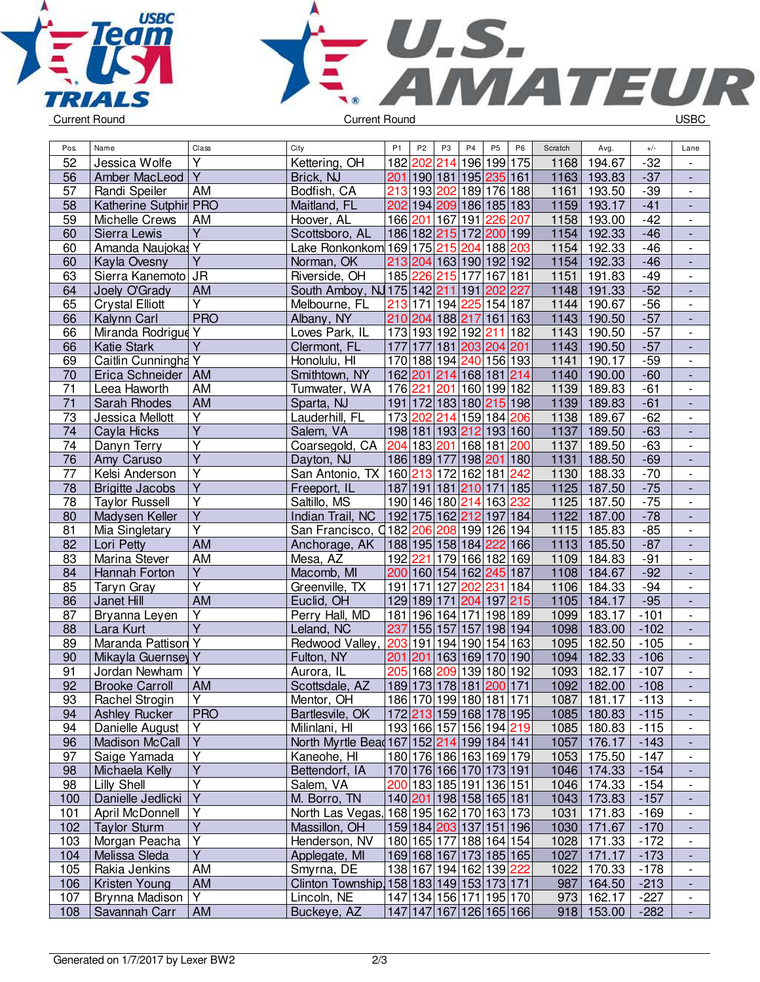



| Pos.            | Name                   | Class                   | City                                                | P <sub>1</sub> | P <sub>2</sub> | P <sub>3</sub>  | P <sub>4</sub>          | P <sub>5</sub> | P <sub>6</sub> | Scratch | Avg.       | $+/-$  | Lane                     |
|-----------------|------------------------|-------------------------|-----------------------------------------------------|----------------|----------------|-----------------|-------------------------|----------------|----------------|---------|------------|--------|--------------------------|
| 52              | Jessica Wolfe          | Υ                       | Kettering, OH                                       |                | 182 202        | 214             |                         | 196 199 175    |                | 1168    | 194.67     | $-32$  | $\overline{\phantom{a}}$ |
| 56              | Amber MacLeod          | $\overline{\mathsf{Y}}$ | Brick, NJ                                           |                |                |                 | 201 190 181 195 235 161 |                |                | 1163    | 193.83     | $-37$  | $\overline{a}$           |
| 57              | Randi Speiler          | <b>AM</b>               | Bodfish, CA                                         | 213            |                |                 | 193 202 189 176 188     |                |                | 1161    | 193.50     | $-39$  | $\overline{\phantom{a}}$ |
| 58              | Katherine Sutphir PRO  |                         | Maitland, FL                                        |                |                |                 | 202 194 209 186 185 183 |                |                | 1159    | 193.17     | $-41$  | ÷,                       |
| 59              | Michelle Crews         | AM                      | Hoover, AL                                          |                |                | 166 201 167 191 |                         | 226            | 207            | 1158    | 193.00     | $-42$  | $\overline{\phantom{a}}$ |
| 60              | Sierra Lewis           | $\overline{Y}$          | Scottsboro, AL                                      |                |                |                 | 186 182 215 172 200 199 |                |                | 1154    | 192.33     | $-46$  | $\overline{\phantom{a}}$ |
| 60              | Amanda Naujokas Y      |                         | Lake Ronkonkom 169 175 215 204                      |                |                |                 |                         | 188 203        |                | 1154    | 192.33     | $-46$  | $\overline{\phantom{a}}$ |
| 60              | Kayla Ovesny           | $\overline{Y}$          | Norman, OK                                          |                |                |                 | 213 204 163 190 192 192 |                |                | 1154    | 192.33     | $-46$  | $\overline{\phantom{a}}$ |
| 63              | Sierra Kanemoto JR     |                         | Riverside, OH                                       |                | 185 226        | 215 177         |                         | 167 181        |                | 1151    | 191.83     | $-49$  | $\overline{\phantom{a}}$ |
| 64              | Joely O'Grady          | <b>AM</b>               | South Amboy, NJ 175 142 211 191                     |                |                |                 |                         | 202 227        |                | 1148    | 191.33     | $-52$  |                          |
| 65              | <b>Crystal Elliott</b> | $\overline{Y}$          | Melbourne, FL                                       |                |                |                 | 213 171 194 225 154 187 |                |                | 1144    | 190.67     | $-56$  | $\overline{\phantom{a}}$ |
| 66              | Kalynn Carl            | <b>PRO</b>              | Albany, NY                                          |                |                |                 | 210 204 188 217         | 161 163        |                | 1143    | 190.50     | $-57$  | $\overline{a}$           |
| 66              | Miranda Rodrigue Y     |                         | Loves Park, IL                                      |                |                |                 | 173 193 192 192         | 211 182        |                | 1143    | 190.50     | $-57$  | $\overline{\phantom{a}}$ |
| 66              | <b>Katie Stark</b>     | $\overline{Y}$          | Clermont, FL                                        | 177            | 177            |                 | 181 203 204 201         |                |                | 1143    | 190.50     | $-57$  | $\Box$                   |
| 69              | Caitlin Cunningha Y    |                         | Honolulu, HI                                        |                |                |                 | 170 188 194 240 156 193 |                |                | 1141    | 190.17     | $-59$  | $\overline{\phantom{a}}$ |
| 70              | Erica Schneider        | AM                      | Smithtown, NY                                       |                |                |                 | 162 201 214 168 181 214 |                |                | 1140    | 190.00     | $-60$  | ÷,                       |
| 71              | Leea Haworth           | AM                      | Tumwater, WA                                        |                |                |                 | 176 221 201 160 199 182 |                |                | 1139    | 189.83     | $-61$  | $\overline{\phantom{a}}$ |
| $\overline{71}$ | Sarah Rhodes           | <b>AM</b>               | Sparta, NJ                                          |                |                |                 | 191 172 183 180 215 198 |                |                | 1139    | 189.83     | $-61$  | $\overline{\phantom{a}}$ |
| 73              | Jessica Mellott        | $\overline{Y}$          | Lauderhill, FL                                      |                |                |                 | 173 202 214 159 184 206 |                |                | 1138    | 189.67     | $-62$  | $\overline{\phantom{a}}$ |
| 74              | Cayla Hicks            | $\overline{\mathsf{Y}}$ | Salem, VA                                           |                |                |                 | 198 181 193 212 193 160 |                |                | 1137    | 189.50     | $-63$  | $\blacksquare$           |
| 74              | Danyn Terry            | $\overline{Y}$          | Coarsegold, CA                                      | 204            |                |                 | 183 201 168 181         |                | 200            | 1137    | 189.50     | $-63$  | $\overline{\phantom{a}}$ |
| 76              | Amy Caruso             | $\overline{Y}$          | Dayton, NJ                                          |                |                |                 | 186 189 177 198 201     |                | 180            | 1131    | 188.50     | $-69$  | $\overline{\phantom{a}}$ |
| $\overline{77}$ | Kelsi Anderson         | $\overline{\mathsf{Y}}$ | San Antonio, TX 160 213 172 162 181 242             |                |                |                 |                         |                |                | 1130    | 188.33     | $-70$  | $\overline{\phantom{a}}$ |
| 78              | <b>Brigitte Jacobs</b> | $\overline{Y}$          | Freeport, IL                                        |                |                |                 | 187 191 181 210 171 185 |                |                | 1125    | 187.50     | $-75$  | $\blacksquare$           |
| $\overline{78}$ | <b>Taylor Russell</b>  | $\overline{Y}$          | Saltillo, MS                                        |                |                |                 | 190 146 180 214         | 163            | 232            | 1125    | 187.50     | $-75$  | $\overline{\phantom{a}}$ |
| 80              | Madysen Keller         | $\overline{Y}$          | Indian Trail, NC                                    |                |                |                 | 192 175 162 212 197 184 |                |                | 1122    | 187.00     | $-78$  | $\overline{\phantom{a}}$ |
| 81              | Mia Singletary         | $\overline{\mathsf{Y}}$ | San Francisco, 0182 206 208 199 126 194             |                |                |                 |                         |                |                | 1115    | 185.83     | $-85$  | $\overline{\phantom{a}}$ |
| 82              | Lori Petty             | <b>AM</b>               | Anchorage, AK                                       |                |                |                 | 188 195 158 184         | 222 166        |                | 1113    | 185.50     | $-87$  | $\overline{\phantom{a}}$ |
| 83              | Marina Stever          | <b>AM</b>               | Mesa, AZ                                            |                | 192 221        |                 | 179 166 182 169         |                |                | 1109    | 184.83     | $-91$  | $\overline{\phantom{a}}$ |
| 84              | Hannah Forton          | $\overline{\mathsf{Y}}$ | Macomb, MI                                          |                |                |                 | 200 160 154 162 245 187 |                |                | 1108    | 184.67     | $-92$  |                          |
| 85              | Taryn Gray             | $\overline{\mathsf{Y}}$ | Greenville, TX                                      |                | 191 171        | 127             | 202                     | 231            | 184            | 1106    | 184.33     | $-94$  | $\overline{\phantom{a}}$ |
| 86              | Janet Hill             | <b>AM</b>               | Euclid, OH                                          |                | 129 189        | 171             | 204                     | 197            | 215            | 1105    | 184.17     | $-95$  | $\overline{\phantom{a}}$ |
| 87              | Bryanna Leyen          | Y                       | Perry Hall, MD                                      |                |                |                 | 181 196 164 171         | 198 189        |                | 1099    | 183.17     | $-101$ | $\overline{\phantom{a}}$ |
| 88              | Lara Kurt              | $\overline{\mathsf{Y}}$ | Leland, NC                                          | 237            |                |                 | 155 157 157             | 198 194        |                | 1098    | 183.00     | $-102$ | $\Box$                   |
| 89              | Maranda Pattison Y     |                         | Redwood Valley,                                     | 203            |                |                 | 191 194 190 154 163     |                |                | 1095    | 182.50     | $-105$ | $\overline{\phantom{a}}$ |
| 90              | Mikayla Guernsey Y     |                         | Fulton, NY                                          | 201            | 201            |                 | 163 169 170 190         |                |                | 1094    | 182.33     | $-106$ | $\overline{\phantom{a}}$ |
| 91              | Jordan Newham          | Υ                       | Aurora, IL                                          | 205            | 168            |                 | 209 139                 | 180 192        |                | 1093    | 182.17     | $-107$ | $\overline{\phantom{a}}$ |
| $\overline{92}$ | <b>Brooke Carroll</b>  | AM                      | Scottsdale, AZ                                      |                |                |                 | 189 173 178 181 200 171 |                |                | 1092    | 182.00     | $-108$ |                          |
| 93              | Rachel Strogin         | Y                       | Mentor, OH                                          |                |                |                 | 186 170 199 180 181 171 |                |                | 10871   | 181.17     | -113   |                          |
| 94              | <b>Ashley Rucker</b>   | <b>PRO</b>              | Bartlesvile, OK                                     |                |                |                 | 172 213 159 168 178 195 |                |                | 1085    | 180.83     | $-115$ |                          |
| 94              | Danielle August        | Y                       | Milinlani, HI                                       |                |                |                 | 193 166 157 156 194 219 |                |                | 1085    | 180.83     | $-115$ | $\overline{\phantom{a}}$ |
| 96              | <b>Madison McCall</b>  | $\overline{Y}$          | North Myrtle Bead 167   152   214   199   184   141 |                |                |                 |                         |                |                | 1057    | 176.17     | $-143$ |                          |
| 97              | Saige Yamada           | $\overline{Y}$          | Kaneohe, HI                                         |                |                |                 | 180 176 186 163 169 179 |                |                | 1053    | 175.50     | $-147$ | $\overline{\phantom{a}}$ |
| 98              | Michaela Kelly         | Y                       | Bettendorf, IA                                      |                |                |                 | 170 176 166 170 173 191 |                |                | 1046    | 174.33     | $-154$ | $\blacksquare$           |
| 98              | Lilly Shell            | $\overline{Y}$          | Salem, VA                                           |                |                |                 | 200 183 185 191 136 151 |                |                | 1046    | 174.33     | $-154$ | $\overline{\phantom{a}}$ |
| 100             | Danielle Jedlicki      | Y                       | M. Borro, TN                                        |                |                |                 | 140 201 198 158 165 181 |                |                | 1043    | 173.83     | $-157$ | $\overline{\phantom{a}}$ |
| 101             | April McDonnell        | Υ                       | North Las Vegas,                                    |                |                |                 | 168 195 162 170 163 173 |                |                | 1031    | 171.83     | -169   | $\qquad \qquad -$        |
| 102             | <b>Taylor Sturm</b>    | $\overline{Y}$          | Massillon, OH                                       |                |                |                 | 159 184 203 137 151 196 |                |                | 1030    | 171.67     | $-170$ | ٠                        |
| 103             | Morgan Peacha          | Y                       | Henderson, NV                                       |                |                |                 | 180 165 177 188 164 154 |                |                | 1028    | 171.33     | $-172$ | $\overline{\phantom{a}}$ |
| 104             | Melissa Sleda          | $\overline{Y}$          | Applegate, MI                                       |                |                |                 | 169 168 167 173 185 165 |                |                | 1027    | 171.17     | $-173$ | $\overline{\phantom{a}}$ |
| 105             | Rakia Jenkins          | AM                      | Smyrna, DE                                          |                |                |                 | 138 167 194 162 139 222 |                |                | 1022    | 170.33     | $-178$ | $\overline{\phantom{a}}$ |
| 106             | Kristen Young          | AM                      | Clinton Township 158 183 149 153 173 171            |                |                |                 |                         |                |                | 987     | 164.50     | $-213$ |                          |
| 107             | Brynna Madison         | $\overline{Y}$          | Lincoln, NE                                         |                |                |                 | 147 134 156 171 195 170 |                |                | 973     | 162.17     | $-227$ | $\overline{\phantom{a}}$ |
| 108             | Savannah Carr          | AM                      | Buckeye, AZ                                         |                |                |                 | 147 147 167 126 165 166 |                |                |         | 918 153.00 | $-282$ | $\blacksquare$           |